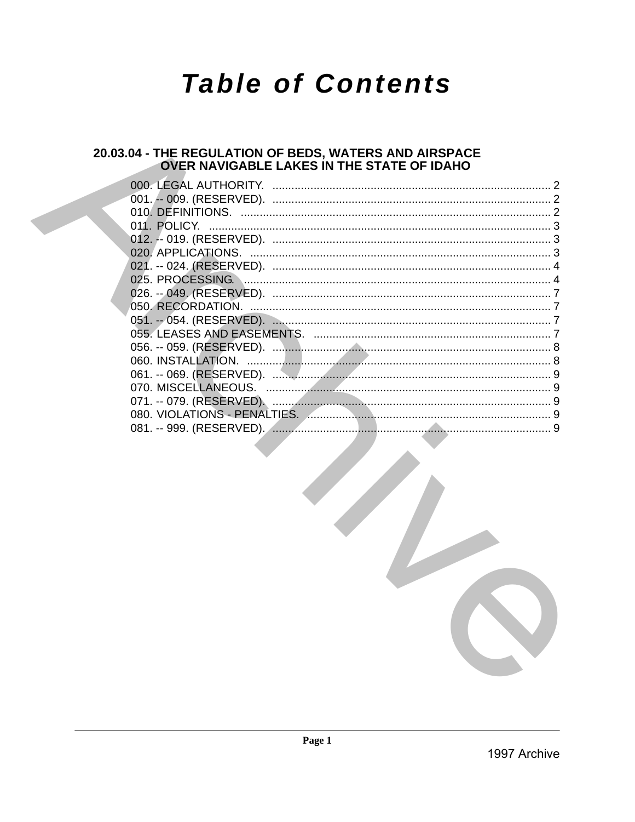# **Table of Contents**

## 20.03.04 - THE REGULATION OF BEDS, WATERS AND AIRSPACE<br>OVER NAVIGABLE LAKES IN THE STATE OF IDAHO

| 011. POLICY.<br>$\begin{minipage}{0.5\textwidth} \begin{tabular}{ l l l } \hline & \multicolumn{1}{ l l } \hline & \multicolumn{1}{ l } \hline \multicolumn{1}{ l } \hline \multicolumn{1}{ l } \hline \multicolumn{1}{ l } \hline \multicolumn{1}{ l } \hline \multicolumn{1}{ l } \hline \multicolumn{1}{ l } \hline \multicolumn{1}{ l } \hline \multicolumn{1}{ l } \hline \multicolumn{1}{ l } \hline \multicolumn{1}{ l } \hline \multicolumn{1}{ l } \hline \multic$ |  |
|-----------------------------------------------------------------------------------------------------------------------------------------------------------------------------------------------------------------------------------------------------------------------------------------------------------------------------------------------------------------------------------------------------------------------------------------------------------------------------|--|
|                                                                                                                                                                                                                                                                                                                                                                                                                                                                             |  |
|                                                                                                                                                                                                                                                                                                                                                                                                                                                                             |  |
|                                                                                                                                                                                                                                                                                                                                                                                                                                                                             |  |
|                                                                                                                                                                                                                                                                                                                                                                                                                                                                             |  |
|                                                                                                                                                                                                                                                                                                                                                                                                                                                                             |  |
|                                                                                                                                                                                                                                                                                                                                                                                                                                                                             |  |
|                                                                                                                                                                                                                                                                                                                                                                                                                                                                             |  |
|                                                                                                                                                                                                                                                                                                                                                                                                                                                                             |  |
|                                                                                                                                                                                                                                                                                                                                                                                                                                                                             |  |
|                                                                                                                                                                                                                                                                                                                                                                                                                                                                             |  |
|                                                                                                                                                                                                                                                                                                                                                                                                                                                                             |  |
|                                                                                                                                                                                                                                                                                                                                                                                                                                                                             |  |
|                                                                                                                                                                                                                                                                                                                                                                                                                                                                             |  |
|                                                                                                                                                                                                                                                                                                                                                                                                                                                                             |  |
|                                                                                                                                                                                                                                                                                                                                                                                                                                                                             |  |
|                                                                                                                                                                                                                                                                                                                                                                                                                                                                             |  |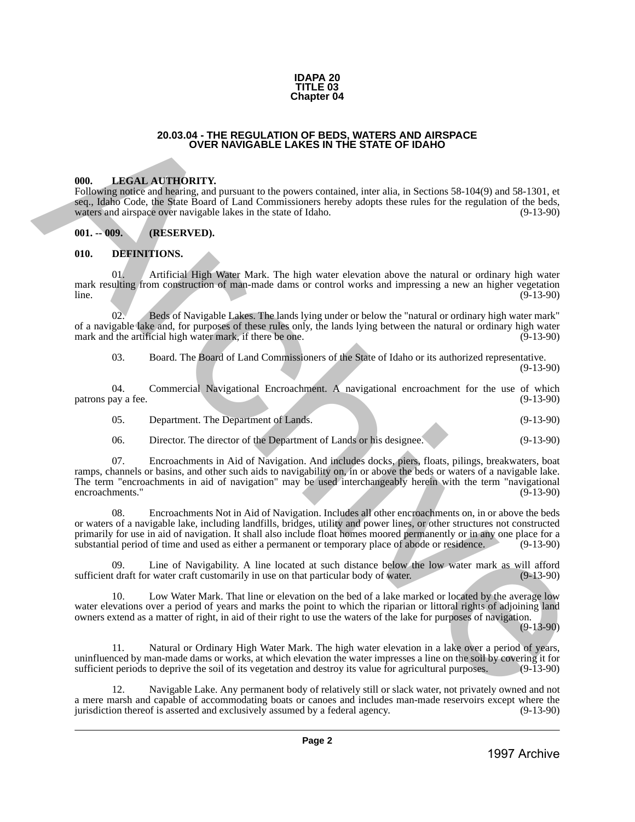#### **IDAPA 20 TITLE 03 Chapter 04**

#### **20.03.04 - THE REGULATION OF BEDS, WATERS AND AIRSPACE OVER NAVIGABLE LAKES IN THE STATE OF IDAHO**

#### <span id="page-1-1"></span>**000. LEGAL AUTHORITY.**

Following notice and hearing, and pursuant to the powers contained, inter alia, in Sections 58-104(9) and 58-1301, et seq., Idaho Code, the State Board of Land Commissioners hereby adopts these rules for the regulation of the beds, waters and airspace over navigable lakes in the state of Idaho. (9-13-90)

<span id="page-1-2"></span>**001. -- 009. (RESERVED).**

#### <span id="page-1-3"></span>**010. DEFINITIONS.**

01. Artificial High Water Mark. The high water elevation above the natural or ordinary high water mark resulting from construction of man-made dams or control works and impressing a new an higher vegetation line.  $\ln 2$  (9-13-90)

02. Beds of Navigable Lakes. The lands lying under or below the "natural or ordinary high water mark" of a navigable lake and, for purposes of these rules only, the lands lying between the natural or ordinary high water mark and the artificial high water mark, if there be one. (9-13-90) mark and the artificial high water mark, if there be one.

03. Board. The Board of Land Commissioners of the State of Idaho or its authorized representative. (9-13-90)

04. Commercial Navigational Encroachment. A navigational encroachment for the use of which patrons pay a fee. (9-13-90)

| 05. | Department. The Department of Lands. | $(9-13-90)$ |
|-----|--------------------------------------|-------------|
|     |                                      |             |

06. Director. The director of the Department of Lands or his designee. (9-13-90)

<span id="page-1-0"></span>07. Encroachments in Aid of Navigation. And includes docks, piers, floats, pilings, breakwaters, boat ramps, channels or basins, and other such aids to navigability on, in or above the beds or waters of a navigable lake. The term "encroachments in aid of navigation" may be used interchangeably herein with the term "navigational encroachments." (9-13-90) **20.03.04 - FREE REQUIATION OF REPS, WATER SAND AREPACT<br>
1998. LARGER ATTICH DETTY.**<br> **1998. LARGER ATTICH DETTY.**<br> **1998. LARGER ATTICH DETTY.**<br> **1998. LARGER ATTICH DETTY.**<br> **1999. ARCHIVE DETTY.**<br> **1999. AR** 

08. Encroachments Not in Aid of Navigation. Includes all other encroachments on, in or above the beds or waters of a navigable lake, including landfills, bridges, utility and power lines, or other structures not constructed primarily for use in aid of navigation. It shall also include float homes moored permanently or in any one place for a substantial period of time and used as either a permanent or temporary place of abode or residence. (9-13-90)

09. Line of Navigability. A line located at such distance below the low water mark as will afford that the draft for water craft customarily in use on that particular body of water. (9-13-90) sufficient draft for water craft customarily in use on that particular body of water.

10. Low Water Mark. That line or elevation on the bed of a lake marked or located by the average low water elevations over a period of years and marks the point to which the riparian or littoral rights of adjoining land owners extend as a matter of right, in aid of their right to use the waters of the lake for purposes of navigation. (9-13-90)

11. Natural or Ordinary High Water Mark. The high water elevation in a lake over a period of years, uninfluenced by man-made dams or works, at which elevation the water impresses a line on the soil by covering it for sufficient periods to deprive the soil of its vegetation and destroy its value for agricultural purposes. sufficient periods to deprive the soil of its vegetation and destroy its value for agricultural purposes.

Navigable Lake. Any permanent body of relatively still or slack water, not privately owned and not a mere marsh and capable of accommodating boats or canoes and includes man-made reservoirs except where the jurisdiction thereof is asserted and exclusively assumed by a federal agency. (9-13-90)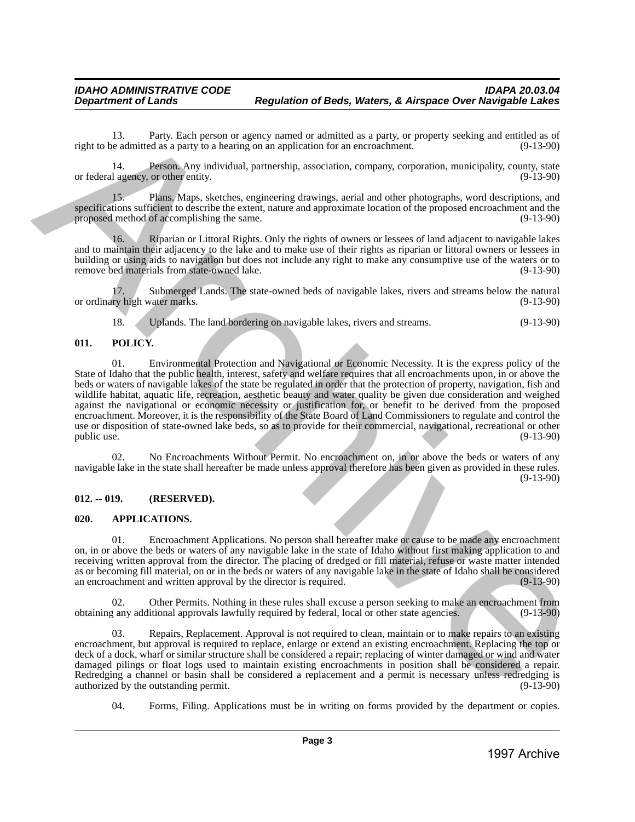13. Party. Each person or agency named or admitted as a party, or property seeking and entitled as of eedmitted as a party to a hearing on an application for an encroachment. (9-13-90) right to be admitted as a party to a hearing on an application for an encroachment.

14. Person. Any individual, partnership, association, company, corporation, municipality, county, state 1 agency, or other entity. (9-13-90) or federal agency, or other entity.

15. Plans. Maps, sketches, engineering drawings, aerial and other photographs, word descriptions, and specifications sufficient to describe the extent, nature and approximate location of the proposed encroachment and the proposed method of accomplishing the same. (9-13-90)

16. Riparian or Littoral Rights. Only the rights of owners or lessees of land adjacent to navigable lakes and to maintain their adjacency to the lake and to make use of their rights as riparian or littoral owners or lessees in building or using aids to navigation but does not include any right to make any consumptive use of the waters or to remove bed materials from state-owned lake. (9-13-90)

17. Submerged Lands. The state-owned beds of navigable lakes, rivers and streams below the natural ry high water marks. (9-13-90) or ordinary high water marks.

18. Uplands. The land bordering on navigable lakes, rivers and streams. (9-13-90)

## <span id="page-2-0"></span>**011. POLICY.**

01. Environmental Protection and Navigational or Economic Necessity. It is the express policy of the State of Idaho that the public health, interest, safety and welfare requires that all encroachments upon, in or above the beds or waters of navigable lakes of the state be regulated in order that the protection of property, navigation, fish and wildlife habitat, aquatic life, recreation, aesthetic beauty and water quality be given due consideration and weighed against the navigational or economic necessity or justification for, or benefit to be derived from the proposed encroachment. Moreover, it is the responsibility of the State Board of Land Commissioners to regulate and control the use or disposition of state-owned lake beds, so as to provide for their commercial, navigational, recreational or other public use. (9-13-90) public use.  $(9-13-90)$ 1998 bis manner than the measurement of the third is a control of the measurement of the measurement of the measurement of the measurement of the measurement of the measurement of the measurement of the measurement of the

No Encroachments Without Permit. No encroachment on, in or above the beds or waters of any navigable lake in the state shall hereafter be made unless approval therefore has been given as provided in these rules. (9-13-90)

## <span id="page-2-1"></span>**012. -- 019. (RESERVED).**

## <span id="page-2-2"></span>**020. APPLICATIONS.**

01. Encroachment Applications. No person shall hereafter make or cause to be made any encroachment on, in or above the beds or waters of any navigable lake in the state of Idaho without first making application to and receiving written approval from the director. The placing of dredged or fill material, refuse or waste matter intended as or becoming fill material, on or in the beds or waters of any navigable lake in the state of Idaho shall be considered<br>an encroachment and written approval by the director is required. (9-13-90) an encroachment and written approval by the director is required.

02. Other Permits. Nothing in these rules shall excuse a person seeking to make an encroachment from obtaining any additional approvals lawfully required by federal, local or other state agencies. (9-13-90)

03. Repairs, Replacement. Approval is not required to clean, maintain or to make repairs to an existing encroachment, but approval is required to replace, enlarge or extend an existing encroachment. Replacing the top or deck of a dock, wharf or similar structure shall be considered a repair; replacing of winter damaged or wind and water damaged pilings or float logs used to maintain existing encroachments in position shall be considered a repair. Redredging a channel or basin shall be considered a replacement and a permit is necessary unless redredging is authorized by the outstanding permit. (9-13-90) authorized by the outstanding permit.

04. Forms, Filing. Applications must be in writing on forms provided by the department or copies.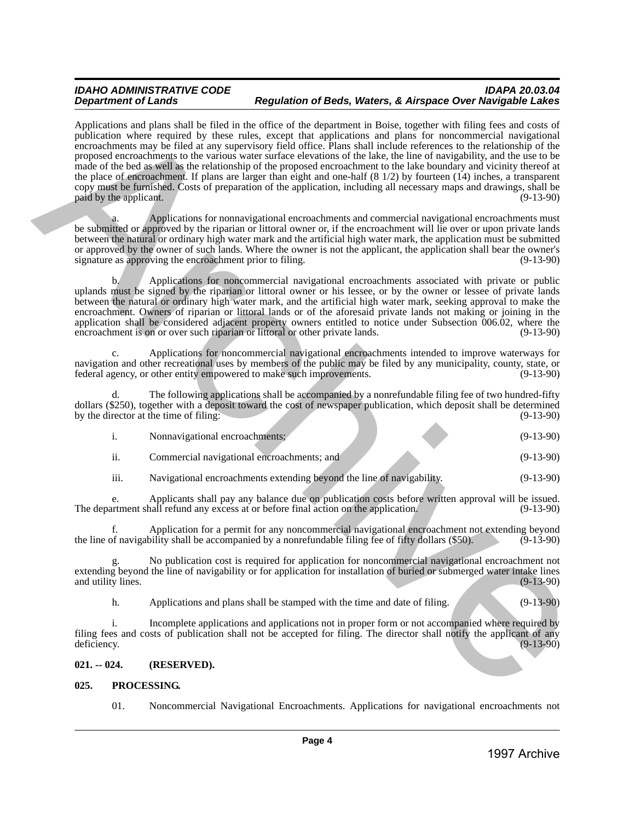Applications and plans shall be filed in the office of the department in Boise, together with filing fees and costs of publication where required by these rules, except that applications and plans for noncommercial navigational encroachments may be filed at any supervisory field office. Plans shall include references to the relationship of the proposed encroachments to the various water surface elevations of the lake, the line of navigability, and the use to be made of the bed as well as the relationship of the proposed encroachment to the lake boundary and vicinity thereof at the place of encroachment. If plans are larger than eight and one-half (8 1/2) by fourteen (14) inches, a transparent copy must be furnished. Costs of preparation of the application, including all necessary maps and drawings, shall be paid by the applicant. (9-13-90) Application and plus alternative and the value of the spherical state of the spherical state of the spherical state of the spherical state of the spherical state of the spherical state of the spherical state of the spheri

a. Applications for nonnavigational encroachments and commercial navigational encroachments must be submitted or approved by the riparian or littoral owner or, if the encroachment will lie over or upon private lands between the natural or ordinary high water mark and the artificial high water mark, the application must be submitted or approved by the owner of such lands. Where the owner is not the applicant, the application shall bear the owner's signature as approving the encroachment prior to filing. (9-13-90) signature as approving the encroachment prior to filing.

b. Applications for noncommercial navigational encroachments associated with private or public uplands must be signed by the riparian or littoral owner or his lessee, or by the owner or lessee of private lands between the natural or ordinary high water mark, and the artificial high water mark, seeking approval to make the encroachment. Owners of riparian or littoral lands or of the aforesaid private lands not making or joining in the application shall be considered adjacent property owners entitled to notice under Subsection 006.02, where the encroachment is on or over such riparian or littoral or other private lands. (9-13-90) encroachment is on or over such riparian or littoral or other private lands.

c. Applications for noncommercial navigational encroachments intended to improve waterways for navigation and other recreational uses by members of the public may be filed by any municipality, county, state, or federal agency, or other entity empowered to make such improvements. (9-13-90) federal agency, or other entity empowered to make such improvements.

d. The following applications shall be accompanied by a nonrefundable filing fee of two hundred-fifty dollars (\$250), together with a deposit toward the cost of newspaper publication, which deposit shall be determined<br>by the director at the time of filing: (9-13-90) by the director at the time of filing:

|                      | Nonnavigational encroachments;             |  | $(9-13-90)$ |
|----------------------|--------------------------------------------|--|-------------|
| $\cdot \cdot$<br>11. | Commercial navigational encroachments; and |  | $(9-13-90)$ |

iii. Navigational encroachments extending beyond the line of navigability. (9-13-90)

e. Applicants shall pay any balance due on publication costs before written approval will be issued.<br>artment shall refund any excess at or before final action on the application. (9-13-90) The department shall refund any excess at or before final action on the application.

f. Application for a permit for any noncommercial navigational encroachment not extending beyond the line of navigability shall be accompanied by a nonrefundable filing fee of fifty dollars (\$50).

g. No publication cost is required for application for noncommercial navigational encroachment not extending beyond the line of navigability or for application for installation of buried or submerged water intake lines and utility lines. (9-13-90) and utility lines.

h. Applications and plans shall be stamped with the time and date of filing. (9-13-90)

i. Incomplete applications and applications not in proper form or not accompanied where required by filing fees and costs of publication shall not be accepted for filing. The director shall notify the applicant of any deficiency. (9-13-90) deficiency. (9-13-90)

## <span id="page-3-0"></span>**021. -- 024. (RESERVED).**

#### <span id="page-3-1"></span>**025. PROCESSING.**

01. Noncommercial Navigational Encroachments. Applications for navigational encroachments not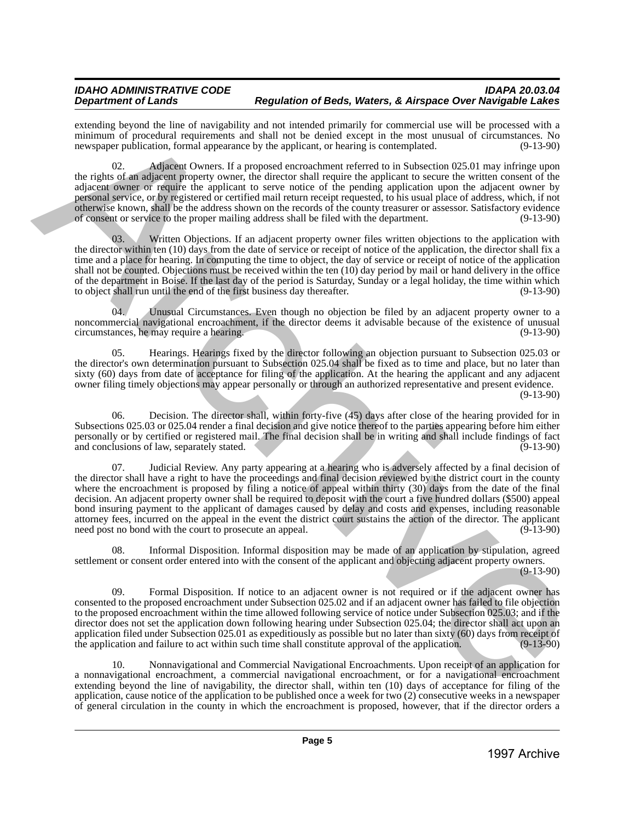extending beyond the line of navigability and not intended primarily for commercial use will be processed with a minimum of procedural requirements and shall not be denied except in the most unusual of circumstances. No newspaper publication, formal appearance by the applicant, or hearing is contemplated. (9-13-90) newspaper publication, formal appearance by the applicant, or hearing is contemplated.

02. Adjacent Owners. If a proposed encroachment referred to in Subsection 025.01 may infringe upon the rights of an adjacent property owner, the director shall require the applicant to secure the written consent of the adjacent owner or require the applicant to serve notice of the pending application upon the adjacent owner by personal service, or by registered or certified mail return receipt requested, to his usual place of address, which, if not otherwise known, shall be the address shown on the records of the county treasurer or assessor. Satisfactory evidence of consent or service to the proper mailing address shall be filed with the department. (9-13-90)

Written Objections. If an adjacent property owner files written objections to the application with the director within ten (10) days from the date of service or receipt of notice of the application, the director shall fix a time and a place for hearing. In computing the time to object, the day of service or receipt of notice of the application shall not be counted. Objections must be received within the ten (10) day period by mail or hand delivery in the office of the department in Boise. If the last day of the period is Saturday, Sunday or a legal holiday, the time within which to object shall run until the end of the first business day thereafter. (9-13-90) to object shall run until the end of the first business day thereafter.

04. Unusual Circumstances. Even though no objection be filed by an adjacent property owner to a noncommercial navigational encroachment, if the director deems it advisable because of the existence of unusual circumstances, he may require a hearing. (9-13-90) circumstances, he may require a hearing.

05. Hearings. Hearings fixed by the director following an objection pursuant to Subsection 025.03 or the director's own determination pursuant to Subsection 025.04 shall be fixed as to time and place, but no later than sixty (60) days from date of acceptance for filing of the application. At the hearing the applicant and any adjacent owner filing timely objections may appear personally or through an authorized representative and present evidence. (9-13-90)

06. Decision. The director shall, within forty-five (45) days after close of the hearing provided for in Subsections 025.03 or 025.04 render a final decision and give notice thereof to the parties appearing before him either personally or by certified or registered mail. The final decision shall be in writing and shall include findings of fact and conclusions of law, separately stated.

07. Judicial Review. Any party appearing at a hearing who is adversely affected by a final decision of the director shall have a right to have the proceedings and final decision reviewed by the district court in the county where the encroachment is proposed by filing a notice of appeal within thirty (30) days from the date of the final decision. An adjacent property owner shall be required to deposit with the court a five hundred dollars (\$500) appeal bond insuring payment to the applicant of damages caused by delay and costs and expenses, including reasonable attorney fees, incurred on the appeal in the event the district court sustains the action of the director. The applicant need post no bond with the court to prosecute an appeal. EVALUATION INTO THE VALUATION AND THE INSURANCE INTERFERIC SYSTEM CONTINUES IN THE VALUATION CONTINUES IN CONTINUES IN CONTINUES IN A CONTINUES IN THE VALUATION CONTINUES IN THE VALUATION CONTINUES IN THE VALUATION CONT

08. Informal Disposition. Informal disposition may be made of an application by stipulation, agreed settlement or consent order entered into with the consent of the applicant and objecting adjacent property owners.

(9-13-90)

09. Formal Disposition. If notice to an adjacent owner is not required or if the adjacent owner has consented to the proposed encroachment under Subsection 025.02 and if an adjacent owner has failed to file objection to the proposed encroachment within the time allowed following service of notice under Subsection 025.03; and if the director does not set the application down following hearing under Subsection 025.04; the director shall act upon an application filed under Subsection 025.01 as expeditiously as possible but no later than sixty  $(60)$  days from receipt of the application and failure to act within such time shall constitute approval of the application. the application and failure to act within such time shall constitute approval of the application.

10. Nonnavigational and Commercial Navigational Encroachments. Upon receipt of an application for a nonnavigational encroachment, a commercial navigational encroachment, or for a navigational encroachment extending beyond the line of navigability, the director shall, within ten (10) days of acceptance for filing of the application, cause notice of the application to be published once a week for two (2) consecutive weeks in a newspaper of general circulation in the county in which the encroachment is proposed, however, that if the director orders a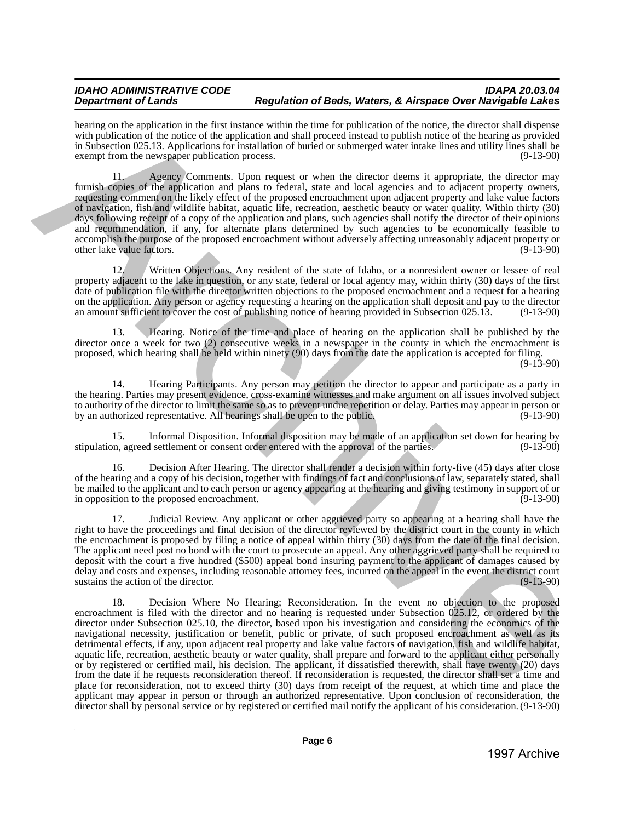hearing on the application in the first instance within the time for publication of the notice, the director shall dispense with publication of the notice of the application and shall proceed instead to publish notice of the hearing as provided in Subsection 025.13. Applications for installation of buried or submerged water intake lines and utility lines shall be exempt from the newspaper publication process. (9-13-90)

11. Agency Comments. Upon request or when the director deems it appropriate, the director may furnish copies of the application and plans to federal, state and local agencies and to adjacent property owners, requesting comment on the likely effect of the proposed encroachment upon adjacent property and lake value factors of navigation, fish and wildlife habitat, aquatic life, recreation, aesthetic beauty or water quality. Within thirty (30) days following receipt of a copy of the application and plans, such agencies shall notify the director of their opinions and recommendation, if any, for alternate plans determined by such agencies to be economically feasible to accomplish the purpose of the proposed encroachment without adversely affecting unreasonably adjacent property or<br>(9-13-90) other lake value factors.

12. Written Objections. Any resident of the state of Idaho, or a nonresident owner or lessee of real property adjacent to the lake in question, or any state, federal or local agency may, within thirty (30) days of the first date of publication file with the director written objections to the proposed encroachment and a request for a hearing on the application. Any person or agency requesting a hearing on the application shall deposit and pay to the director an amount sufficient to cover the cost of publishing notice of hearing provided in Subsection 025.13. (9-13-90)

13. Hearing. Notice of the time and place of hearing on the application shall be published by the director once a week for two (2) consecutive weeks in a newspaper in the county in which the encroachment is proposed, which hearing shall be held within ninety (90) days from the date the application is accepted for filing.

(9-13-90)

14. Hearing Participants. Any person may petition the director to appear and participate as a party in the hearing. Parties may present evidence, cross-examine witnesses and make argument on all issues involved subject to authority of the director to limit the same so as to prevent undue repetition or delay. Parties may appear in person or<br>(9-13-90) or an authorized representative. All hearings shall be open to the public. by an authorized representative. All hearings shall be open to the public.

15. Informal Disposition. Informal disposition may be made of an application set down for hearing by on, agreed settlement or consent order entered with the approval of the parties. (9-13-90) stipulation, agreed settlement or consent order entered with the approval of the parties.

16. Decision After Hearing. The director shall render a decision within forty-five (45) days after close of the hearing and a copy of his decision, together with findings of fact and conclusions of law, separately stated, shall be mailed to the applicant and to each person or agency appearing at the hearing and giving testimony in support of or<br>(9-13-90) in opposition to the proposed encroachment.

17. Judicial Review. Any applicant or other aggrieved party so appearing at a hearing shall have the right to have the proceedings and final decision of the director reviewed by the district court in the county in which the encroachment is proposed by filing a notice of appeal within thirty (30) days from the date of the final decision. The applicant need post no bond with the court to prosecute an appeal. Any other aggrieved party shall be required to deposit with the court a five hundred (\$500) appeal bond insuring payment to the applicant of damages caused by delay and costs and expenses, including reasonable attorney fees, incurred on the appeal in the event the district court sustains the action of the director.

18. Decision Where No Hearing; Reconsideration. In the event no objection to the proposed encroachment is filed with the director and no hearing is requested under Subsection 025.12, or ordered by the director under Subsection 025.10, the director, based upon his investigation and considering the economics of the navigational necessity, justification or benefit, public or private, of such proposed encroachment as well as its detrimental effects, if any, upon adjacent real property and lake value factors of navigation, fish and wildlife habitat, aquatic life, recreation, aesthetic beauty or water quality, shall prepare and forward to the applicant either personally or by registered or certified mail, his decision. The applicant, if dissatisfied therewith, shall have twenty (20) days from the date if he requests reconsideration thereof. If reconsideration is requested, the director shall set a time and place for reconsideration, not to exceed thirty (30) days from receipt of the request, at which time and place the applicant may appear in person or through an authorized representative. Upon conclusion of reconsideration, the director shall by personal service or by registered or certified mail notify the applicant of his consideration. (9-13-90) bearing the training valid in the mean within the line bepolaring clusters of the stock the state in the state in the state in the state in the state in the state in the state in the state in the state in the state in the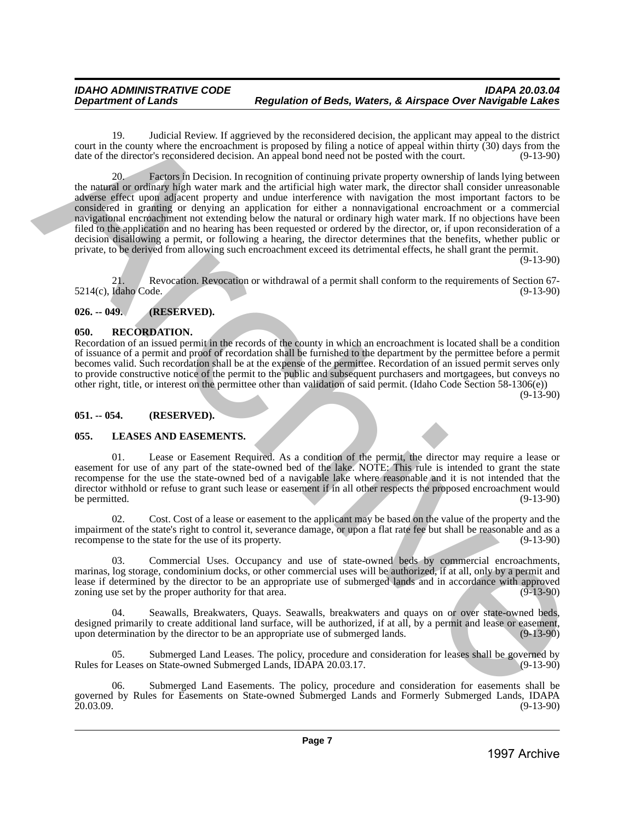19. Judicial Review. If aggrieved by the reconsidered decision, the applicant may appeal to the district court in the county where the encroachment is proposed by filing a notice of appeal within thirty  $(30)$  days from the date of the director's reconsidered decision. An appeal bond need not be posted with the court.  $(9-13$ date of the director's reconsidered decision. An appeal bond need not be posted with the court.

20. Factors in Decision. In recognition of continuing private property ownership of lands lying between the natural or ordinary high water mark and the artificial high water mark, the director shall consider unreasonable adverse effect upon adjacent property and undue interference with navigation the most important factors to be considered in granting or denying an application for either a nonnavigational encroachment or a commercial navigational encroachment not extending below the natural or ordinary high water mark. If no objections have been filed to the application and no hearing has been requested or ordered by the director, or, if upon reconsideration of a decision disallowing a permit, or following a hearing, the director determines that the benefits, whether public or private, to be derived from allowing such encroachment exceed its detrimental effects, he shall grant the permit. 1991. a) alternative Research is the total particle detection, the third method in the specific detection of the content of the content of the content of the content of the content of the content of the content of the con

(9-13-90)

21. Revocation. Revocation or withdrawal of a permit shall conform to the requirements of Section 67-  $5214(c)$ , Idaho Code.

## <span id="page-6-0"></span>**026. -- 049. (RESERVED).**

#### <span id="page-6-1"></span>**050. RECORDATION.**

Recordation of an issued permit in the records of the county in which an encroachment is located shall be a condition of issuance of a permit and proof of recordation shall be furnished to the department by the permittee before a permit becomes valid. Such recordation shall be at the expense of the permittee. Recordation of an issued permit serves only to provide constructive notice of the permit to the public and subsequent purchasers and mortgagees, but conveys no other right, title, or interest on the permittee other than validation of said permit. (Idaho Code Section 58-1306(e))

(9-13-90)

#### <span id="page-6-2"></span>**051. -- 054. (RESERVED).**

#### <span id="page-6-3"></span>**055. LEASES AND EASEMENTS.**

Lease or Easement Required. As a condition of the permit, the director may require a lease or easement for use of any part of the state-owned bed of the lake. NOTE: This rule is intended to grant the state recompense for the use the state-owned bed of a navigable lake where reasonable and it is not intended that the director withhold or refuse to grant such lease or easement if in all other respects the proposed encroachment would<br>(9-13-90) (9-13-90) be permitted.  $(9-13-90)$ 

02. Cost. Cost of a lease or easement to the applicant may be based on the value of the property and the impairment of the state's right to control it, severance damage, or upon a flat rate fee but shall be reasonable and as a recompense to the state for the use of its property. recompense to the state for the use of its property.

03. Commercial Uses. Occupancy and use of state-owned beds by commercial encroachments, marinas, log storage, condominium docks, or other commercial uses will be authorized, if at all, only by a permit and lease if determined by the director to be an appropriate use of submerged lands and in accordance with approved zoning use set by the proper authority for that area. zoning use set by the proper authority for that area.

Seawalls, Breakwaters, Quays. Seawalls, breakwaters and quays on or over state-owned beds, designed primarily to create additional land surface, will be authorized, if at all, by a permit and lease or easement, upon determination by the director to be an appropriate use of submerged lands. (9-13-90) upon determination by the director to be an appropriate use of submerged lands.

Submerged Land Leases. The policy, procedure and consideration for leases shall be governed by<br>on State-owned Submerged Lands. IDAPA 20.03.17. Rules for Leases on State-owned Submerged Lands, IDAPA 20.03.17.

06. Submerged Land Easements. The policy, procedure and consideration for easements shall be governed by Rules for Easements on State-owned Submerged Lands and Formerly Submerged Lands, IDAPA 20.03.09. (9-13-90)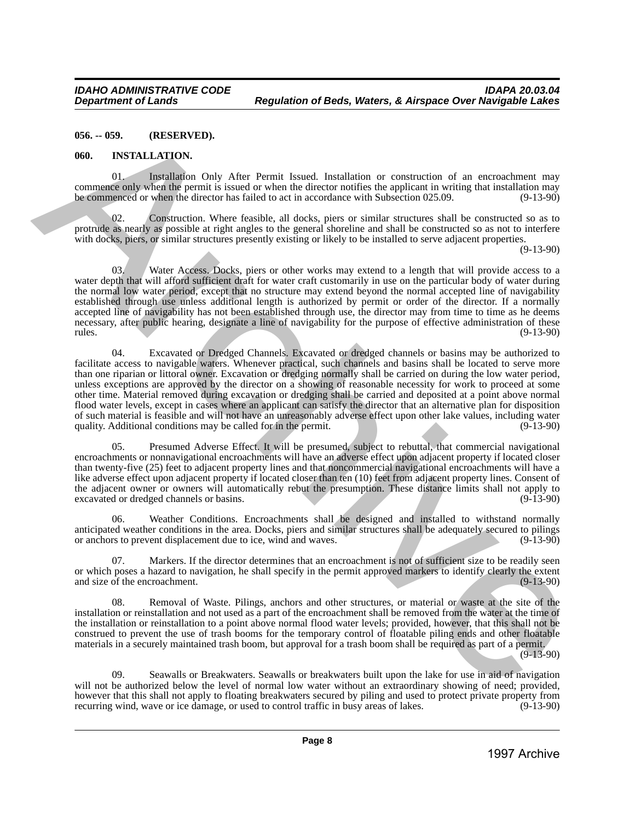#### <span id="page-7-0"></span>**056. -- 059. (RESERVED).**

#### <span id="page-7-1"></span>**060. INSTALLATION.**

01. Installation Only After Permit Issued. Installation or construction of an encroachment may commence only when the permit is issued or when the director notifies the applicant in writing that installation may be commenced or when the director has failed to act in accordance with Subsection 025.09. (9-13-90)

02. Construction. Where feasible, all docks, piers or similar structures shall be constructed so as to protrude as nearly as possible at right angles to the general shoreline and shall be constructed so as not to interfere with docks, piers, or similar structures presently existing or likely to be installed to serve adjacent properties.

(9-13-90)

03. Water Access. Docks, piers or other works may extend to a length that will provide access to a water depth that will afford sufficient draft for water craft customarily in use on the particular body of water during the normal low water period, except that no structure may extend beyond the normal accepted line of navigability established through use unless additional length is authorized by permit or order of the director. If a normally accepted line of navigability has not been established through use, the director may from time to time as he deems necessary, after public hearing, designate a line of navigability for the purpose of effective administration of these<br>(9-13-90) rules. (9-13-90)

04. Excavated or Dredged Channels. Excavated or dredged channels or basins may be authorized to facilitate access to navigable waters. Whenever practical, such channels and basins shall be located to serve more than one riparian or littoral owner. Excavation or dredging normally shall be carried on during the low water period, unless exceptions are approved by the director on a showing of reasonable necessity for work to proceed at some other time. Material removed during excavation or dredging shall be carried and deposited at a point above normal flood water levels, except in cases where an applicant can satisfy the director that an alternative plan for disposition of such material is feasible and will not have an unreasonably adverse effect upon other lake values, including water quality. Additional conditions may be called for in the permit. (9-13-90) quality. Additional conditions may be called for in the permit. **1997 - Archive Constrainer Constrainer International Constrainer Constrainer Constrainer Constrainer Constrainer Constrainer Constrainer Constrainer Constrainer Constrainer Constrainer Constrainer Constrainer Constrainer** 

05. Presumed Adverse Effect. It will be presumed, subject to rebuttal, that commercial navigational encroachments or nonnavigational encroachments will have an adverse effect upon adjacent property if located closer than twenty-five (25) feet to adjacent property lines and that noncommercial navigational encroachments will have a like adverse effect upon adjacent property if located closer than ten (10) feet from adjacent property lines. Consent of the adjacent owner or owners will automatically rebut the presumption. These distance limits shall not apply to excavated or dredged channels or basins. excavated or dredged channels or basins.

06. Weather Conditions. Encroachments shall be designed and installed to withstand normally anticipated weather conditions in the area. Docks, piers and similar structures shall be adequately secured to pilings<br>or anchors to prevent displacement due to ice, wind and waves. (9-13-90) or anchors to prevent displacement due to ice, wind and waves.

07. Markers. If the director determines that an encroachment is not of sufficient size to be readily seen or which poses a hazard to navigation, he shall specify in the permit approved markers to identify clearly the extent and size of the encroachment. (9-13-90) and size of the encroachment.

Removal of Waste. Pilings, anchors and other structures, or material or waste at the site of the installation or reinstallation and not used as a part of the encroachment shall be removed from the water at the time of the installation or reinstallation to a point above normal flood water levels; provided, however, that this shall not be construed to prevent the use of trash booms for the temporary control of floatable piling ends and other floatable materials in a securely maintained trash boom, but approval for a trash boom shall be required as part of a permit.

(9-13-90)

09. Seawalls or Breakwaters. Seawalls or breakwaters built upon the lake for use in aid of navigation will not be authorized below the level of normal low water without an extraordinary showing of need; provided, however that this shall not apply to floating breakwaters secured by piling and used to protect private property from recurring wind, wave or ice damage, or used to control traffic in busy areas of lakes. (9-13-90) recurring wind, wave or ice damage, or used to control traffic in busy areas of lakes.